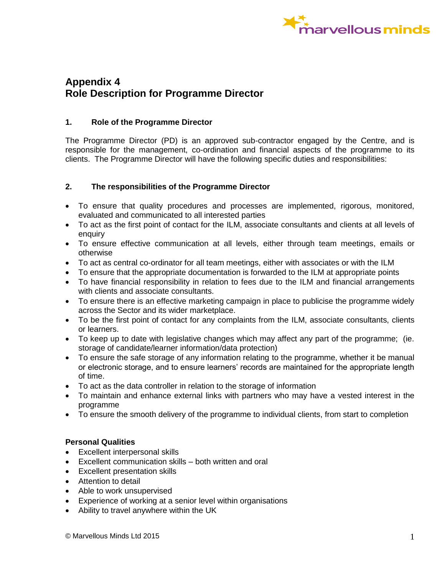

# **Appendix 4 Role Description for Programme Director**

### **1. Role of the Programme Director**

The Programme Director (PD) is an approved sub-contractor engaged by the Centre, and is responsible for the management, co-ordination and financial aspects of the programme to its clients. The Programme Director will have the following specific duties and responsibilities:

#### **2. The responsibilities of the Programme Director**

- To ensure that quality procedures and processes are implemented, rigorous, monitored, evaluated and communicated to all interested parties
- To act as the first point of contact for the ILM, associate consultants and clients at all levels of enquiry
- To ensure effective communication at all levels, either through team meetings, emails or otherwise
- To act as central co-ordinator for all team meetings, either with associates or with the ILM
- To ensure that the appropriate documentation is forwarded to the ILM at appropriate points
- To have financial responsibility in relation to fees due to the ILM and financial arrangements with clients and associate consultants.
- To ensure there is an effective marketing campaign in place to publicise the programme widely across the Sector and its wider marketplace.
- To be the first point of contact for any complaints from the ILM, associate consultants, clients or learners.
- To keep up to date with legislative changes which may affect any part of the programme; (ie. storage of candidate/learner information/data protection)
- To ensure the safe storage of any information relating to the programme, whether it be manual or electronic storage, and to ensure learners' records are maintained for the appropriate length of time.
- To act as the data controller in relation to the storage of information
- To maintain and enhance external links with partners who may have a vested interest in the programme
- To ensure the smooth delivery of the programme to individual clients, from start to completion

#### **Personal Qualities**

- Excellent interpersonal skills
- Excellent communication skills both written and oral
- Excellent presentation skills
- Attention to detail
- Able to work unsupervised
- Experience of working at a senior level within organisations
- Ability to travel anywhere within the UK